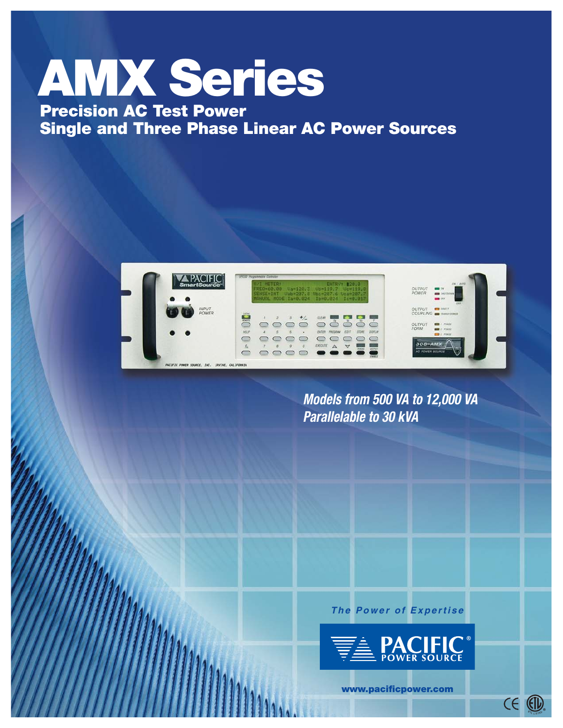# **AMX Series Precision AC Test Power**

**Single and Three Phase Linear AC Power Sources**



**Models from 500 VA to 12,000 VA Parallelable to 30 kVA**





**www.pacificpower.com**

CE CD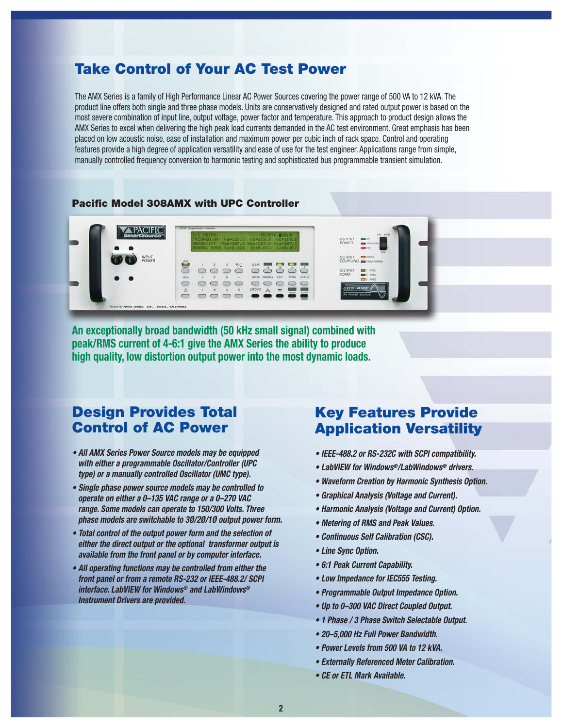## **Take Control of Your AC Test Power**

The AMX Series is a family of High Performance Linear AC Power Sources covering the power range of 500 VA to 12 kVA. The product line offers both single and three phase models. Units are conservatively designed and rated output power is based on the most severe combination of input line, output voltage, power factor and temperature. This approach to product design allows the AMX Series to excel when delivering the high peak load currents demanded in the AC test environment. Great emphasis has been placed on low acoustic noise, ease of installation and maximum power per cubic inch of rack space. Control and operating features provide a high degree of application versatility and ease of use for the test engineer. Applications range from simple, manually controlled frequency conversion to harmonic testing and sophisticated bus programmable transient simulation.

### **Pacific Model 308AMX with UPC Controller**



**An exceptionally broad bandwidth (50 kHz small signal) combined with peak/RMS current of 4-6:1 give the AMX Series the ability to produce high quality, low distortion output power into the most dynamic loads.**

## **Design Provides Total Control of AC Power**

- **All AMX Series Power Source models may be equipped with either a programmable Oscillator/Controller (UPC type) or a manually controlled Oscillator (UMC type).**
- **Single phase power source models may be controlled to operate on either a 0–135 VAC range or a 0–270 VAC range. Some models can operate to 150/300 Volts. Three phase models are switchable to 3Ø/2Ø/1Ø output power form.**
- **Total control of the output power form and the selection of either the direct output or the optional transformer output is available from the front panel or by computer interface.**
- **All operating functions may be controlled from either the front panel or from a remote RS-232 or IEEE-488.2/ SCPI interface. LabVIEW for Windows® and LabWindows® Instrument Drivers are provided.**

## **Key Features Provide Application Versatility**

- **IEEE-488.2 or RS-232C with SCPI compatibility.**
- **LabVIEW for Windows®/LabWindows® drivers.**
- **Waveform Creation by Harmonic Synthesis Option.**
- **Graphical Analysis (Voltage and Current).**
- **Harmonic Analysis (Voltage and Current) Option.**
- **Metering of RMS and Peak Values.**
- **Continuous Self Calibration (CSC).**
- **Line Sync Option.**
- **6:1 Peak Current Capability.**
- **Low Impedance for IEC555 Testing.**
- **Programmable Output Impedance Option.**
- **Up to 0–300 VAC Direct Coupled Output.**
- **1 Phase / 3 Phase Switch Selectable Output.**
- **20–5,000 Hz Full Power Bandwidth.**
- **Power Levels from 500 VA to 12 kVA.**
- **Externally Referenced Meter Calibration.**
- **CE or ETL Mark Available.**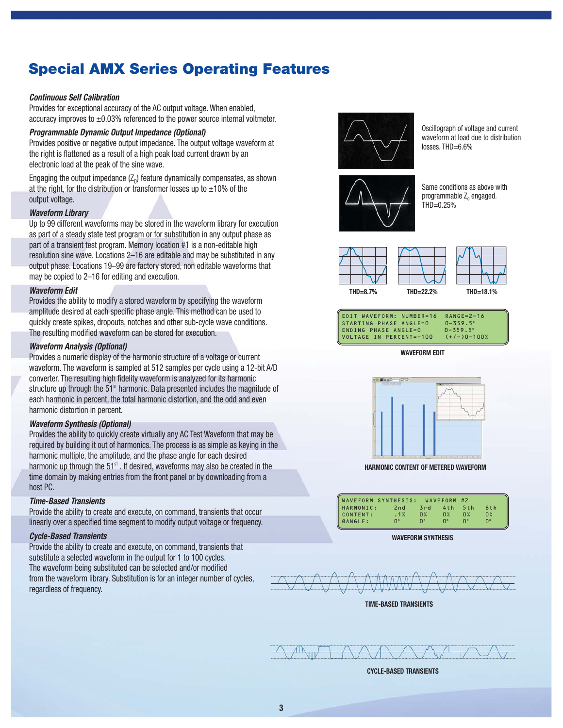## **Special AMX Series Operating Features**

#### **Continuous Self Calibration**

Provides for exceptional accuracy of the AC output voltage. When enabled, accuracy improves to  $\pm 0.03\%$  referenced to the power source internal voltmeter.

#### **Programmable Dynamic Output Impedance (Optional)**

Provides positive or negative output impedance. The output voltage waveform at the right is flattened as a result of a high peak load current drawn by an electronic load at the peak of the sine wave.

Engaging the output impedance  $(Z_0)$  feature dynamically compensates, as shown at the right, for the distribution or transformer losses up to  $\pm 10\%$  of the output voltage.

#### **Waveform Library**

Up to 99 different waveforms may be stored in the waveform library for execution as part of a steady state test program or for substitution in any output phase as part of a transient test program. Memory location #1 is a non-editable high resolution sine wave. Locations 2–16 are editable and may be substituted in any output phase. Locations 19–99 are factory stored, non editable waveforms that may be copied to 2–16 for editing and execution.

#### **Waveform Edit**

Provides the ability to modify a stored waveform by specifying the waveform amplitude desired at each specific phase angle. This method can be used to quickly create spikes, dropouts, notches and other sub-cycle wave conditions. The resulting modified waveform can be stored for execution.

#### **Waveform Analysis (Optional)**

Provides a numeric display of the harmonic structure of a voltage or current waveform. The waveform is sampled at 512 samples per cycle using a 12-bit A/D converter. The resulting high fidelity waveform is analyzed for its harmonic structure up through the  $51<sup>st</sup>$  harmonic. Data presented includes the magnitude of each harmonic in percent, the total harmonic distortion, and the odd and even harmonic distortion in percent.

### **Waveform Synthesis (Optional)**

Provides the ability to quickly create virtually any AC Test Waveform that may be required by building it out of harmonics. The process is as simple as keying in the harmonic multiple, the amplitude, and the phase angle for each desired harmonic up through the  $51<sup>st</sup>$ . If desired, waveforms may also be created in the time domain by making entries from the front panel or by downloading from a host PC.

#### **Time-Based Transients**

Provide the ability to create and execute, on command, transients that occur linearly over a specified time segment to modify output voltage or frequency.

#### **Cycle-Based Transients**

Provide the ability to create and execute, on command, transients that substitute a selected waveform in the output for 1 to 100 cycles. The waveform being substituted can be selected and/or modified from the waveform library. Substitution is for an integer number of cycles, regardless of frequency.



Oscillograph of voltage and current waveform at load due to distribution losses. THD=6.6%



Same conditions as above with programmable Z<sub>o</sub> engaged.  $THD=0.25%$ 





**WAVEFORM EDIT**



**HARMONIC CONTENT OF METERED WAVEFORM**



**WAVEFORM SYNTHESIS**



**TIME-BASED TRANSIENTS**



**CYCLE-BASED TRANSIENTS**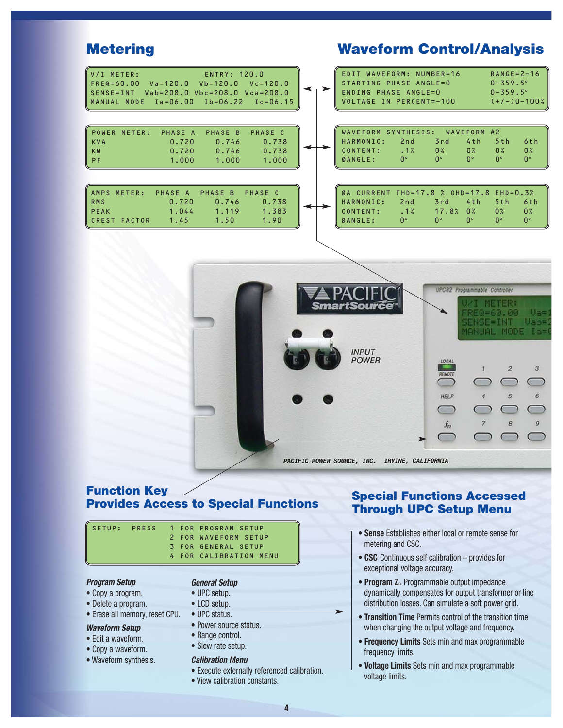## **Metering Waveform Control/Analysis**

| V/I METER:<br>$FREG = 60.00$<br>$SENSE = INT$<br>MANUAL MODE   | $Va = 120.0$<br>$Ia = 06.00$       | ENTRY: 120.0<br>$Vb = 120.0$<br>Vab=208.0 Vbc=208.0 Vca=208.0<br>$Ib=06.22$ | $Vc = 120.0$<br>$Ic = 06.15$       |  | EDIT WAVEFORM: NUMBER=16<br>STARTING PHASE ANGLE=0<br>ENDING PHASE ANGLE=0<br>VOLTAGE IN PERCENT=-100 |                                    |                                                          |                                                           | $RANGE = 2 - 16$<br>$0 - 359.5^{\circ}$<br>$0 - 359.5^{\circ}$<br>$(+/-)$ 0-100% |                                               |
|----------------------------------------------------------------|------------------------------------|-----------------------------------------------------------------------------|------------------------------------|--|-------------------------------------------------------------------------------------------------------|------------------------------------|----------------------------------------------------------|-----------------------------------------------------------|----------------------------------------------------------------------------------|-----------------------------------------------|
| <b>POWER</b><br>METER:<br><b>KVA</b><br><b>KW</b><br><b>PF</b> | PHASE A<br>0.720<br>0.720<br>1,000 | PHASE B<br>0.746<br>0.746<br>1,000                                          | PHASE C<br>0.738<br>0.738<br>1,000 |  | WAVEFORM SYNTHESIS:<br>HARMONIC:<br>CONTENT:<br>ØANGLE:                                               | 2nd<br>.1%<br>$\mathsf{O}^{\circ}$ | 3rd<br>0%<br>$\mathsf{D}^{\circ}$                        | WAVEFORM<br>4th<br>0 <sup>2</sup><br>$\mathsf{n}^{\circ}$ | #2<br>5th<br>0%<br>$\mathsf{O}^\circ$                                            | 6th<br>0 <sup>2</sup><br>$\mathsf{O}^{\circ}$ |
| AMPS METER:<br><b>RMS</b><br>PEAK<br>CREST FACTOR              | PHASE A<br>0.720<br>1.044<br>1.45  | PHASE B<br>0.746<br>1.119<br>1.50                                           | PHASE C<br>0.738<br>1.383<br>1.90  |  | <b>ØA CURRENT</b><br>HARMONIC:<br>CONTENT:<br>ØANGLE:                                                 | 2nd<br>.1%<br>$0^{\circ}$          | $THD = 17.8 % OHD = 17.8$<br>3rd<br>17.8%<br>$0^{\circ}$ | 4th<br>0%<br>$\mathsf{O}^{\circ}$                         | $EHD = 0.3%$<br>5th<br>0%<br>$0^{\circ}$                                         | 6th<br>0 <sup>2</sup><br>$0^{\circ}$          |



## **Function Key Provides Access to Special Functions**

|  |  | SETUP: PRESS 1 FOR PROGRAM SETUP |
|--|--|----------------------------------|
|  |  | 2 FOR WAVEFORM SETUP             |
|  |  | 3 FOR GENERAL SETUP              |
|  |  | 4 FOR CALIBRATION MENU           |

#### **Program Setup**

- Copy a program.
- Delete a program.
- Erase all memory, reset CPU.

#### **Waveform Setup**

- Edit a waveform.
- Copy a waveform.
- Waveform synthesis.

### **General Setup**

- UPC setup.
- LCD setup.
- UPC status.
- Power source status.
- Range control.
- Slew rate setup.

#### **Calibration Menu**

- Execute externally referenced calibration.
- View calibration constants.

## **Special Functions Accessed Through UPC Setup Menu**

- **Sense** Establishes either local or remote sense for metering and CSC.
- **CSC** Continuous self calibration provides for exceptional voltage accuracy.
- **Program Z**<sub>o</sub> Programmable output impedance dynamically compensates for output transformer or line distribution losses. Can simulate a soft power grid.
- **Transition Time** Permits control of the transition time when changing the output voltage and frequency.
- **Frequency Limits** Sets min and max programmable frequency limits.
- **Voltage Limits** Sets min and max programmable voltage limits.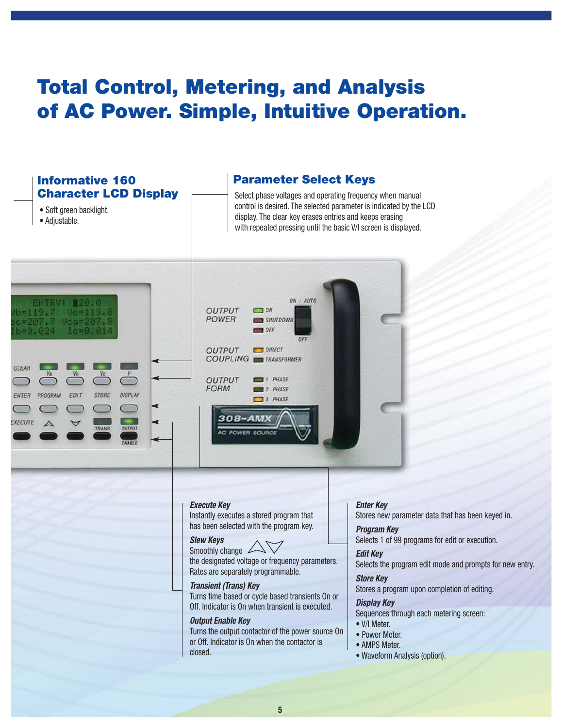## **Total Control, Metering, and Analysis of AC Power. Simple, Intuitive Operation.**

## **Informative 160 Character LCD Display**

- Soft green backlight.
- Adjustable.

### **Parameter Select Keys**

Select phase voltages and operating frequency when manual control is desired. The selected parameter is indicated by the LCD display. The clear key erases entries and keeps erasing with repeated pressing until the basic V/I screen is displayed.





### **Execute Key**

Instantly executes a stored program that has been selected with the program key.

### **Slew Keys**



the designated voltage or frequency parameters. Rates are separately programmable.

### **Transient (Trans) Key**

Turns time based or cycle based transients On or Off. Indicator is On when transient is executed.

### **Output Enable Key**

Turns the output contactor of the power source On or Off. Indicator is On when the contactor is closed.

### **Enter Key** Stores new parameter data that has been keyed in.

**Program Key** Selects 1 of 99 programs for edit or execution.

**Edit Key** Selects the program edit mode and prompts for new entry.

**Store Key** Stores a program upon completion of editing.

**Display Key** Sequences through each metering screen:

- V/I Meter.
- Power Meter.
- AMPS Meter.
- Waveform Analysis (option).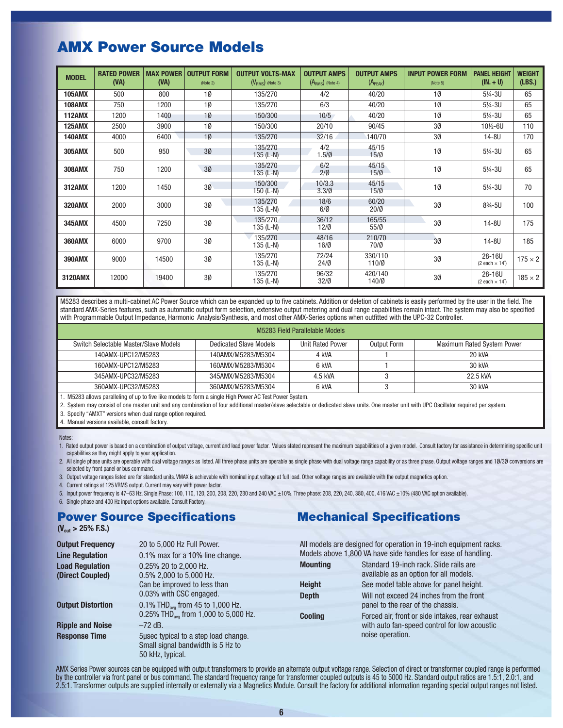## **AMX Power Source Models**

| <b>MODEL</b>  | <b>RATED POWER</b><br>(NA) | <b>MAX POWER</b><br>(VA) | <b>OUTPUT FORM</b><br>(Note 2) | <b>OUTPUT VOLTS-MAX</b><br>$(VRMS)$ (Note 3) | <b>OUTPUT AMPS</b><br>$(ARMS)$ (Note 4) | <b>OUTPUT AMPS</b><br>(A <sub>PEAK</sub> ) | <b>INPUT POWER FORM</b><br>(Note 5) | <b>PANEL HEIGHT</b><br>$(IN. + U)$ | <b>WEIGHT</b><br>(LBS.) |
|---------------|----------------------------|--------------------------|--------------------------------|----------------------------------------------|-----------------------------------------|--------------------------------------------|-------------------------------------|------------------------------------|-------------------------|
| <b>105AMX</b> | 500                        | 800                      | 10                             | 135/270                                      | 4/2                                     | 40/20                                      | 10                                  | $5\frac{1}{4} - 3U$                | 65                      |
| <b>108AMX</b> | 750                        | 1200                     | 10                             | 135/270                                      | 6/3                                     | 40/20                                      | 10                                  | $5\frac{1}{4} - 3U$                | 65                      |
| <b>112AMX</b> | 1200                       | 1400                     | 10                             | 150/300                                      | 10/5                                    | 40/20                                      | 10                                  | $5\frac{1}{4} - 3U$                | 65                      |
| <b>125AMX</b> | 2500                       | 3900                     | 10                             | 150/300                                      | 20/10                                   | 90/45                                      | 30                                  | 101/ <sub>2</sub> -6U              | 110                     |
| <b>140AMX</b> | 4000                       | 6400                     | 10                             | 135/270                                      | 32/16                                   | 140/70                                     | 30                                  | 14-8U                              | 170                     |
| <b>305AMX</b> | 500                        | 950                      | 30                             | 135/270<br>$135(L-N)$                        | 4/2<br>$1.5/\emptyset$                  | 45/15<br>15/Ø                              | 10                                  | $5\frac{1}{4} - 3U$                | 65                      |
| <b>308AMX</b> | 750                        | 1200                     | 30                             | 135/270<br>135 $(L-N)$                       | 6/2<br>2/0                              | 45/15<br>15/Ø                              | 10                                  | $5\frac{1}{4} - 3U$                | 65                      |
| <b>312AMX</b> | 1200                       | 1450                     | 30                             | 150/300<br>150 $(L-N)$                       | 10/3.3<br>$3.3/\emptyset$               | 45/15<br>15/0                              | 10                                  | $5\frac{1}{4} - 3U$                | 70                      |
| <b>320AMX</b> | 2000                       | 3000                     | 30                             | 135/270<br>135 $(L-N)$                       | 18/6<br>6/0                             | 60/20<br>20/Ø                              | 30                                  | $8\frac{3}{4} - 5U$                | 100                     |
| 345AMX        | 4500                       | 7250                     | 30                             | 135/270<br>135 $(L-N)$                       | 36/12<br>12/0                           | 165/55<br>$55/\emptyset$                   | 30                                  | 14-8U                              | 175                     |
| <b>360AMX</b> | 6000                       | 9700                     | 30                             | 135/270<br>135 $(L-N)$                       | 48/16<br>16/0                           | 210/70<br>70/Ø                             | 30                                  | 14-8U                              | 185                     |
| <b>390AMX</b> | 9000                       | 14500                    | 30                             | 135/270<br>135 $(L-N)$                       | 72/24<br>$24/\emptyset$                 | 330/110<br>110/Ø                           | 30                                  | 28-16U<br>(2 each × 14')           | $175 \times 2$          |
| 3120AMX       | 12000                      | 19400                    | 30                             | 135/270<br>135 $(L-N)$                       | 96/32<br>32/0                           | 420/140<br>140/Ø                           | 30                                  | 28-16U<br>(2 each × 14')           | $185 \times 2$          |

M5283 describes a multi-cabinet AC Power Source which can be expanded up to five cabinets. Addition or deletion of cabinets is easily performed by the user in the field. The standard AMX-Series features, such as automatic output form selection, extensive output metering and dual range capabilities remain intact. The system may also be specified with Programmable Output Impedance, Harmonic Analysis/Synthesis, and most other AMX-Series options when outfitted with the UPC-32 Controller.

#### M5283 Field Parallelable Models

| Switch Selectable Master/Slave Models | Dedicated Slave Models | Unit Rated Power | Output Form | <b>Maximum Rated System Power</b> |
|---------------------------------------|------------------------|------------------|-------------|-----------------------------------|
| 140AMX-UPC12/M5283                    | 140AMX/M5283/M5304     | 4 kVA            |             | 20 kVA                            |
| 160AMX-UPC12/M5283                    | 160AMX/M5283/M5304     | 6 kVA            |             | 30 kVA                            |
| 345AMX-UPC32/M5283                    | 345AMX/M5283/M5304     | 4.5 kVA          |             | 22.5 kVA                          |
| 360AMX-UPC32/M5283                    | 360AMX/M5283/M5304     | 6 kVA            |             | 30 kVA                            |

1. M5283 allows paralleling of up to five like models to form a single High Power AC Test Power System.

**(Direct Coupled)** 0.5% 2,000 to 5,000 Hz. Can be improved to less than 0.03% with CSC engaged.

0.25% THD<sub>avg</sub> from 1,000 to 5,000 H

Small signal bandwidth is 5 Hz to

2. System may consist of one master unit and any combination of four additional master/slave selectable or dedicated slave units. One master unit with UPC Oscillator required per system.

3. Specify "AMXT" versions when dual range option required.

4. Manual versions available, consult factory.

Notes:

1. Rated output power is based on a combination of output voltage, current and load power factor. Values stated represent the maximum capabilities of a given model. Consult factory for assistance in determining specific unit capabilities as they might apply to your application.

2. All single phase units are operable with dual voltage ranges as listed. All three phase units are operable as single phase with dual voltage range capability or as three phase. Output voltage ranges and 10/30 conversion selected by front panel or bus command.

3. Output voltage ranges listed are for standard units. VMAX is achievable with nominal input voltage at full load. Other voltage ranges are available with the output magnetics option.

4. Current ratings at 125 VRMS output. Current may vary with power factor.

5. Input power frequency is 47–63 Hz. Single Phase: 100, 110, 120, 200, 208, 220, 230 and 240 VAC ±10%. Three phase: 208, 220, 240, 380, 400, 416 VAC ±10% (480 VAC option available).

6. Single phase and 400 Hz input options available. Consult Factory.

**Output Frequency** 20 to 5,000 Hz Full Power. **Line Regulation** 0.1% max for a 10% line change.

**Load Regulation** 0.25% 20 to 2,000 Hz.<br> **(Direct Coupled)** 0.5% 2,000 to 5,000 H

**Ripple and Noise** –72 dB.

### **Power Source Specifications (Vout > 25% F.S.)**

**Output Distortion** 0.1% THD<sub>avg</sub> from 45 to 1,000 Hz.

**Response Time** 5µsec typical to a step load change.

50 kHz, typical.

## **Mechanical Specifications**

All models are designed for operation in 19-inch equipment racks. Models above 1,800 VA have side handles for ease of handling.

|     | <b>Mounting</b> | Standard 19-inch rack. Slide rails are<br>available as an option for all models.                                    |
|-----|-----------------|---------------------------------------------------------------------------------------------------------------------|
|     | <b>Height</b>   | See model table above for panel height.                                                                             |
|     | <b>Depth</b>    | Will not exceed 24 inches from the front<br>panel to the rear of the chassis.                                       |
| łz. | <b>Cooling</b>  | Forced air, front or side intakes, rear exhaust<br>with auto fan-speed control for low acoustic<br>noise operation. |
|     |                 |                                                                                                                     |

AMX Series Power sources can be equipped with output transformers to provide an alternate output voltage range. Selection of direct or transformer coupled range is performed by the controller via front panel or bus command. The standard frequency range for transformer coupled outputs is 45 to 5000 Hz. Standard output ratios are 1.5:1, 2.0:1, and 2.5:1. Transformer outputs are supplied internally or externally via a Magnetics Module. Consult the factory for additional information regarding special output ranges not listed.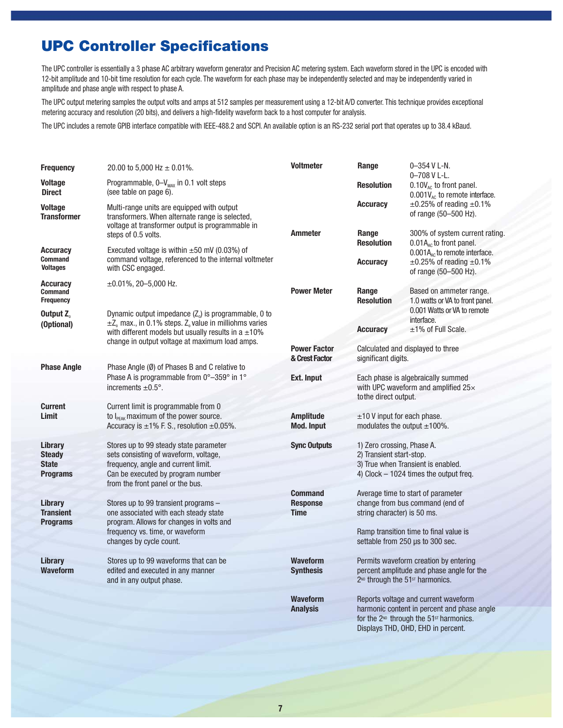## **UPC Controller Specifications**

The UPC controller is essentially a 3 phase AC arbitrary waveform generator and Precision AC metering system. Each waveform stored in the UPC is encoded with 12-bit amplitude and 10-bit time resolution for each cycle. The waveform for each phase may be independently selected and may be independently varied in amplitude and phase angle with respect to phase A.

The UPC output metering samples the output volts and amps at 512 samples per measurement using a 12-bit A/D converter. This technique provides exceptional metering accuracy and resolution (20 bits), and delivers a high-fidelity waveform back to a host computer for analysis.

The UPC includes a remote GPIB interface compatible with IEEE-488.2 and SCPI. An available option is an RS-232 serial port that operates up to 38.4 kBaud.

| <b>Frequency</b>                                     | 20.00 to 5,000 Hz ± 0.01%.                                                                                                                        | <b>Voltmeter</b>    | Range                       | 0-354 V L-N.                                                                                              |
|------------------------------------------------------|---------------------------------------------------------------------------------------------------------------------------------------------------|---------------------|-----------------------------|-----------------------------------------------------------------------------------------------------------|
| <b>Voltage</b>                                       |                                                                                                                                                   |                     |                             | 0-708 V L-L.                                                                                              |
| <b>Direct</b>                                        | Programmable, $0 - V_{MAX}$ in 0.1 volt steps<br>(see table on page 6).                                                                           |                     | <b>Resolution</b>           | $0.10V_{AC}$ to front panel.<br>$0.001V_{AC}$ to remote interface.                                        |
| <b>Voltage</b><br><b>Transformer</b>                 | Multi-range units are equipped with output<br>transformers. When alternate range is selected,<br>voltage at transformer output is programmable in |                     | <b>Accuracy</b>             | $\pm 0.25\%$ of reading $\pm 0.1\%$<br>of range (50-500 Hz).                                              |
|                                                      | steps of 0.5 volts.                                                                                                                               | <b>Ammeter</b>      | Range<br><b>Resolution</b>  | 300% of system current rating.<br>0.01A <sub>AC</sub> to front panel.                                     |
| <b>Accuracy</b><br><b>Command</b><br><b>Voltages</b> | Executed voltage is within $\pm 50$ mV (0.03%) of<br>command voltage, referenced to the internal voltmeter<br>with CSC engaged.                   |                     | <b>Accuracy</b>             | 0.001A <sub>AC</sub> to remote interface.<br>$\pm 0.25\%$ of reading $\pm 0.1\%$<br>of range (50-500 Hz). |
| <b>Accuracy</b>                                      | $\pm 0.01\%$ , 20-5,000 Hz.                                                                                                                       |                     |                             |                                                                                                           |
| <b>Command</b><br><b>Frequency</b>                   |                                                                                                                                                   | <b>Power Meter</b>  | Range<br><b>Resolution</b>  | Based on ammeter range.<br>1.0 watts or VA to front panel.                                                |
| Output $Z_{0}$                                       | Dynamic output impedance $(Z_0)$ is programmable, 0 to                                                                                            |                     |                             | 0.001 Watts or VA to remote                                                                               |
| (Optional)                                           | $\pm Z_0$ max., in 0.1% steps. $Z_0$ value in milliohms varies                                                                                    |                     |                             | interface.                                                                                                |
|                                                      | with different models but usually results in a $\pm 10\%$                                                                                         |                     | <b>Accuracy</b>             | ±1% of Full Scale.                                                                                        |
|                                                      | change in output voltage at maximum load amps.                                                                                                    | <b>Power Factor</b> |                             | Calculated and displayed to three                                                                         |
|                                                      |                                                                                                                                                   | & Crest Factor      | significant digits.         |                                                                                                           |
| <b>Phase Angle</b>                                   | Phase Angle (Ø) of Phases B and C relative to                                                                                                     |                     |                             |                                                                                                           |
|                                                      | Phase A is programmable from 0°-359° in 1°                                                                                                        | <b>Ext. Input</b>   |                             | Each phase is algebraically summed                                                                        |
|                                                      | increments $\pm 0.5^{\circ}$ .                                                                                                                    |                     |                             | with UPC waveform and amplified 25x                                                                       |
|                                                      |                                                                                                                                                   |                     | to the direct output.       |                                                                                                           |
| <b>Current</b>                                       | Current limit is programmable from 0                                                                                                              |                     |                             |                                                                                                           |
| Limit                                                | to I <sub>PEAK</sub> maximum of the power source.                                                                                                 | <b>Amplitude</b>    | ±10 V input for each phase. |                                                                                                           |
|                                                      | Accuracy is $\pm 1\%$ F. S., resolution $\pm 0.05\%$ .                                                                                            | <b>Mod. Input</b>   |                             | modulates the output $\pm 100\%$ .                                                                        |
| Library                                              | Stores up to 99 steady state parameter                                                                                                            | <b>Sync Outputs</b> | 1) Zero crossing, Phase A.  |                                                                                                           |
| <b>Steady</b>                                        | sets consisting of waveform, voltage,                                                                                                             |                     | 2) Transient start-stop.    |                                                                                                           |
| <b>State</b>                                         | frequency, angle and current limit.                                                                                                               |                     |                             | 3) True when Transient is enabled.                                                                        |
| <b>Programs</b>                                      | Can be executed by program number                                                                                                                 |                     |                             | 4) $Clock - 1024$ times the output freq.                                                                  |
|                                                      | from the front panel or the bus.                                                                                                                  |                     |                             |                                                                                                           |
|                                                      |                                                                                                                                                   | <b>Command</b>      |                             | Average time to start of parameter                                                                        |
| Library                                              | Stores up to 99 transient programs -                                                                                                              | <b>Response</b>     |                             | change from bus command (end of                                                                           |
| <b>Transient</b>                                     | one associated with each steady state                                                                                                             | <b>Time</b>         | string character) is 50 ms. |                                                                                                           |
| <b>Programs</b>                                      | program. Allows for changes in volts and                                                                                                          |                     |                             |                                                                                                           |
|                                                      | frequency vs. time, or waveform                                                                                                                   |                     |                             | Ramp transition time to final value is                                                                    |
|                                                      | changes by cycle count.                                                                                                                           |                     |                             | settable from 250 µs to 300 sec.                                                                          |
| Library                                              | Stores up to 99 waveforms that can be                                                                                                             | <b>Waveform</b>     |                             | Permits waveform creation by entering                                                                     |
| <b>Waveform</b>                                      | edited and executed in any manner                                                                                                                 | <b>Synthesis</b>    |                             | percent amplitude and phase angle for the                                                                 |
|                                                      | and in any output phase.                                                                                                                          |                     |                             | 2 <sup>ND</sup> through the 51 <sup>st</sup> harmonics.                                                   |
|                                                      |                                                                                                                                                   | <b>Waveform</b>     |                             | Reports voltage and current waveform                                                                      |
|                                                      |                                                                                                                                                   | <b>Analysis</b>     |                             | harmonic content in percent and phase angle                                                               |
|                                                      |                                                                                                                                                   |                     |                             | for the 2 <sup>ND</sup> through the 51 <sup>st</sup> harmonics.                                           |
|                                                      |                                                                                                                                                   |                     |                             | Displays THD, OHD, EHD in percent.                                                                        |